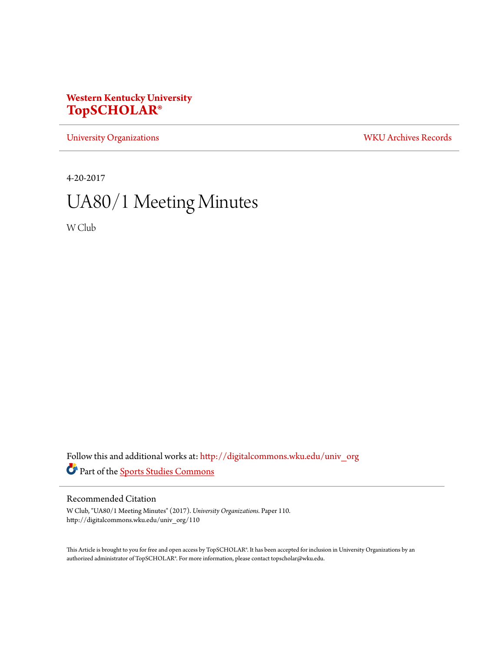## **Western Kentucky University [TopSCHOLAR®](http://digitalcommons.wku.edu?utm_source=digitalcommons.wku.edu%2Funiv_org%2F110&utm_medium=PDF&utm_campaign=PDFCoverPages)**

[University Organizations](http://digitalcommons.wku.edu/univ_org?utm_source=digitalcommons.wku.edu%2Funiv_org%2F110&utm_medium=PDF&utm_campaign=PDFCoverPages) [WKU Archives Records](http://digitalcommons.wku.edu/dlsc_ua_records?utm_source=digitalcommons.wku.edu%2Funiv_org%2F110&utm_medium=PDF&utm_campaign=PDFCoverPages)

4-20-2017

# UA80/1 Meeting Minutes

W Club

Follow this and additional works at: [http://digitalcommons.wku.edu/univ\\_org](http://digitalcommons.wku.edu/univ_org?utm_source=digitalcommons.wku.edu%2Funiv_org%2F110&utm_medium=PDF&utm_campaign=PDFCoverPages) Part of the [Sports Studies Commons](http://network.bepress.com/hgg/discipline/1198?utm_source=digitalcommons.wku.edu%2Funiv_org%2F110&utm_medium=PDF&utm_campaign=PDFCoverPages)

#### Recommended Citation

W Club, "UA80/1 Meeting Minutes" (2017). *University Organizations.* Paper 110. http://digitalcommons.wku.edu/univ\_org/110

This Article is brought to you for free and open access by TopSCHOLAR®. It has been accepted for inclusion in University Organizations by an authorized administrator of TopSCHOLAR®. For more information, please contact topscholar@wku.edu.